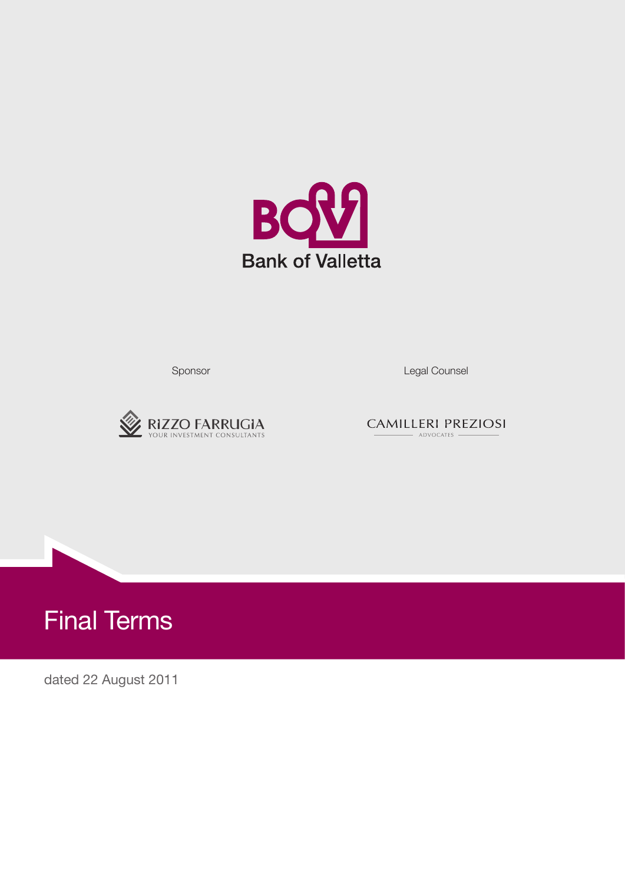

Sponsor **Legal Counsel** 



**CAMILLERI PREZIOSI** - ADVOCATES -



dated 22 August 2011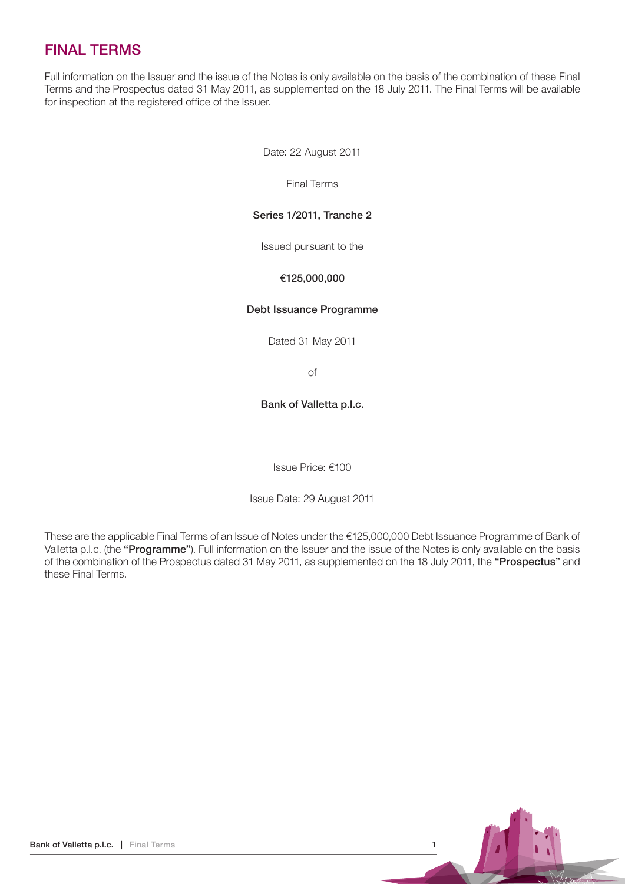# FINAL TERMS

Full information on the Issuer and the issue of the Notes is only available on the basis of the combination of these Final Terms and the Prospectus dated 31 May 2011, as supplemented on the 18 July 2011. The Final Terms will be available for inspection at the registered office of the Issuer.

Date: 22 August 2011

Final Terms

#### Series 1/2011, Tranche 2

Issued pursuant to the

#### €125,000,000

#### Debt Issuance Programme

Dated 31 May 2011

of

#### Bank of Valletta p.l.c.

Issue Price: €100

Issue Date: 29 August 2011

These are the applicable Final Terms of an Issue of Notes under the €125,000,000 Debt Issuance Programme of Bank of Valletta p.l.c. (the "Programme"). Full information on the Issuer and the issue of the Notes is only available on the basis of the combination of the Prospectus dated 31 May 2011, as supplemented on the 18 July 2011, the "Prospectus" and these Final Terms.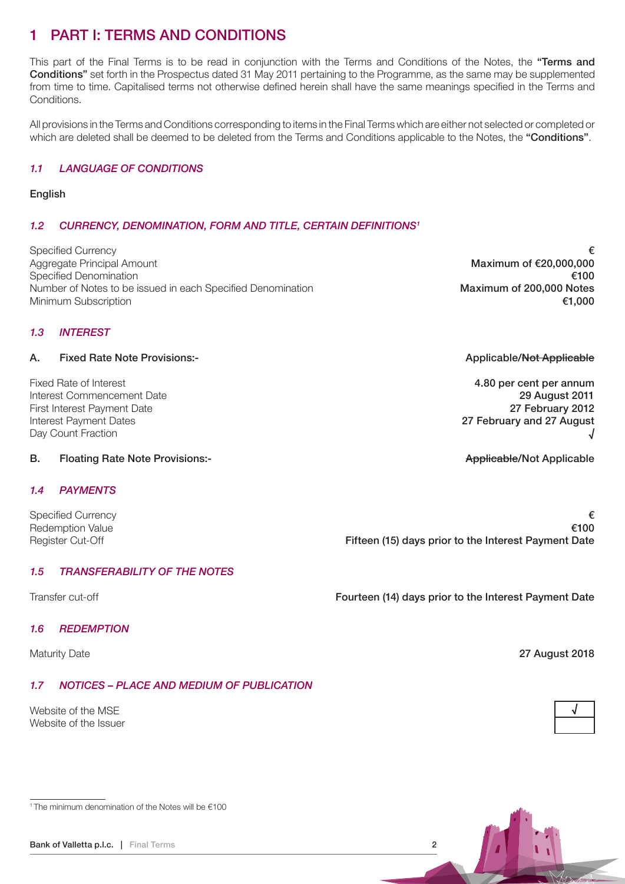# 1 PART I: TERMS AND CONDITIONS

This part of the Final Terms is to be read in conjunction with the Terms and Conditions of the Notes, the "Terms and Conditions" set forth in the Prospectus dated 31 May 2011 pertaining to the Programme, as the same may be supplemented from time to time. Capitalised terms not otherwise defined herein shall have the same meanings specified in the Terms and Conditions.

All provisions in the Terms and Conditions corresponding to items in the Final Terms which are either not selected or completed or which are deleted shall be deemed to be deleted from the Terms and Conditions applicable to the Notes, the "Conditions".

### 1.1 LANGUAGE OF CONDITIONS

#### English

## 1.2 CURRENCY, DENOMINATION, FORM AND TITLE, CERTAIN DEFINITIONS<sup>1</sup>

Specified Currency  $\epsilon$ Aggregate Principal Amount **Maximum of €20,000,000** Specified Denomination **€100** Number of Notes to be issued in each Specified Denomination Maximum of 200,000 Notes Minimum Subscription €1,000

#### 1.3 INTEREST

#### A. Fixed Rate Note Provisions:-<br>
Applicable/Not Applicable

Fixed Rate of Interest **4.80 per cent per annum** and the state of the state of the state of the state of the state of the state of the state of the state of the state of the state of the state of the state of the state of Interest Commencement Date 29 August 2011 First Interest Payment Date 2012 Interest Payment Dates 27 February and 27 August Day Count Fraction

#### B. Floating Rate Note Provisions:- Applicable/Not Applicable/Not Applicable/Not Applicable

#### 1.4 PAYMENTS

#### 1.5 TRANSFERABILITY OF THE NOTES

#### 1.6 REDEMPTION

## 1.7 NOTICES – PLACE AND MEDIUM OF PUBLICATION

Website of the MSE Website of the Issuer

1 The minimum denomination of the Notes will be €100

Specified Currency  $\epsilon$ Redemption Value  $\epsilon$ 100 Register Cut-Off **Fifteen (15) days prior to the Interest Payment Date** 

Transfer cut-off Fourteen (14) days prior to the Interest Payment Date

Maturity Date 2018



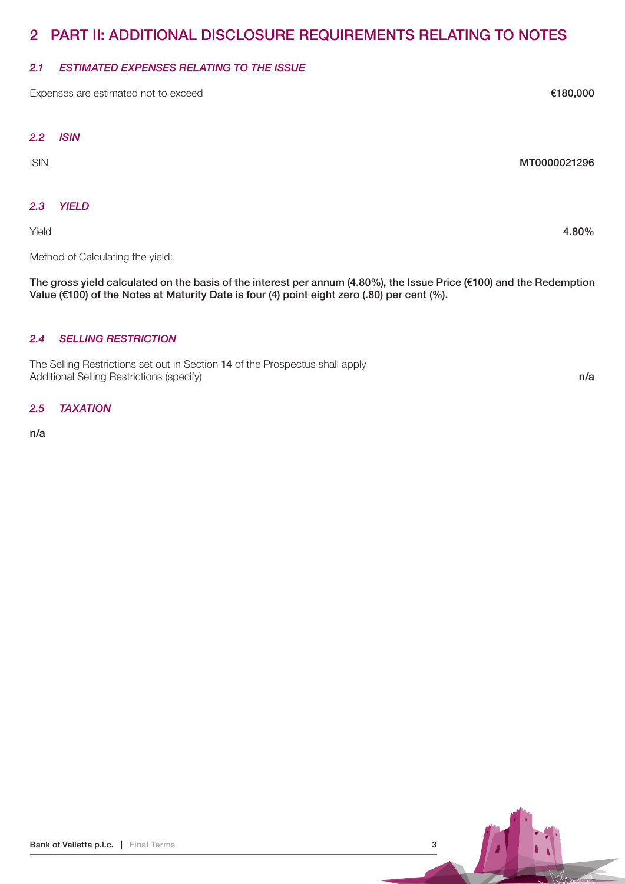# 2 PART II: ADDITIONAL DISCLOSURE REQUIREMENTS RELATING TO NOTES

### 2.1 ESTIMATED EXPENSES RELATING TO THE ISSUE

Expenses are estimated not to exceed E180,000 Expenses are estimated not to exceed

#### 2.2 ISIN

#### ISIN MT0000021296

### 2.3 YIELD

Yield 4.80%

Method of Calculating the yield:

The gross yield calculated on the basis of the interest per annum (4.80%), the Issue Price (€100) and the Redemption Value ( $€100$ ) of the Notes at Maturity Date is four (4) point eight zero (.80) per cent (%).

## 2.4 SELLING RESTRICTION

The Selling Restrictions set out in Section 14 of the Prospectus shall apply Additional Selling Restrictions (specify) n/a

2.5 TAXATION

n/a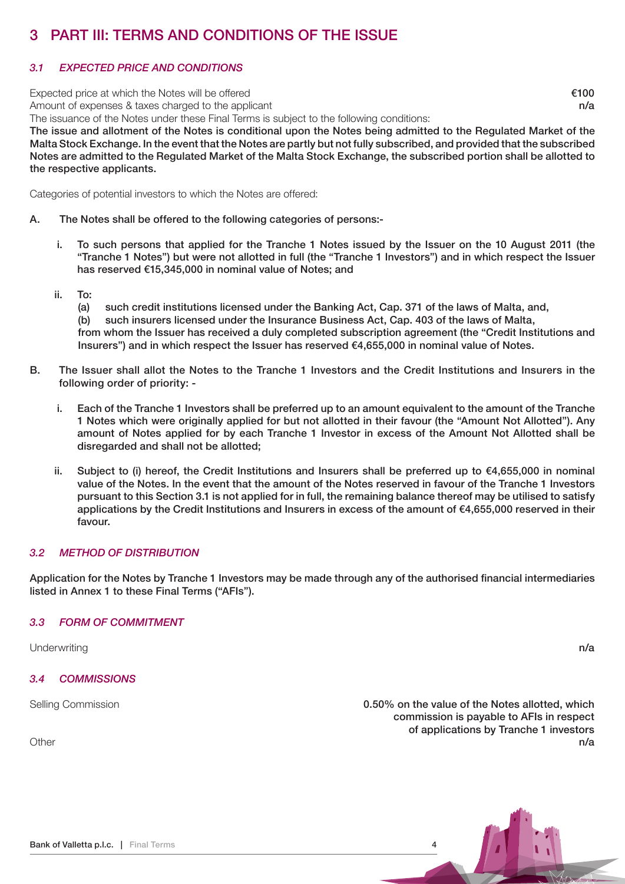# 3 PART III: TERMS AND CONDITIONS OF THE ISSUE

# 3.1 EXPECTED PRICE AND CONDITIONS

Expected price at which the Notes will be offered  $\epsilon$ 100

Amount of expenses & taxes charged to the applicant n/a

The issuance of the Notes under these Final Terms is subject to the following conditions:

The issue and allotment of the Notes is conditional upon the Notes being admitted to the Regulated Market of the Malta Stock Exchange. In the event that the Notes are partly but not fully subscribed, and provided that the subscribed Notes are admitted to the Regulated Market of the Malta Stock Exchange, the subscribed portion shall be allotted to the respective applicants.

Categories of potential investors to which the Notes are offered:

- A. The Notes shall be offered to the following categories of persons:
	- i. To such persons that applied for the Tranche 1 Notes issued by the Issuer on the 10 August 2011 (the "Tranche 1 Notes") but were not allotted in full (the "Tranche 1 Investors") and in which respect the Issuer has reserved €15,345,000 in nominal value of Notes; and
	- ii. To:
		- (a) such credit institutions licensed under the Banking Act, Cap. 371 of the laws of Malta, and,
		- (b) such insurers licensed under the Insurance Business Act, Cap. 403 of the laws of Malta,

from whom the Issuer has received a duly completed subscription agreement (the "Credit Institutions and Insurers") and in which respect the Issuer has reserved €4,655,000 in nominal value of Notes.

- B. The Issuer shall allot the Notes to the Tranche 1 Investors and the Credit Institutions and Insurers in the following order of priority:
	- i. Each of the Tranche 1 Investors shall be preferred up to an amount equivalent to the amount of the Tranche 1 Notes which were originally applied for but not allotted in their favour (the "Amount Not Allotted"). Any amount of Notes applied for by each Tranche 1 Investor in excess of the Amount Not Allotted shall be disregarded and shall not be allotted;
	- ii. Subject to (i) hereof, the Credit Institutions and Insurers shall be preferred up to €4,655,000 in nominal value of the Notes. In the event that the amount of the Notes reserved in favour of the Tranche 1 Investors pursuant to this Section 3.1 is not applied for in full, the remaining balance thereof may be utilised to satisfy applications by the Credit Institutions and Insurers in excess of the amount of €4,655,000 reserved in their favour.

## 3.2 METHOD OF DISTRIBUTION

Application for the Notes by Tranche 1 Investors may be made through any of the authorised financial intermediaries listed in Annex 1 to these Final Terms ("AFIs").

## 3.3 FORM OF COMMITMENT

Underwriting **n/a** and the set of the set of the set of the set of the set of the set of the set of the set of the set of the set of the set of the set of the set of the set of the set of the set of the set of the set of t

3.4 COMMISSIONS

Selling Commission **6.50%** on the value of the Notes allotted, which commission is payable to AFIs in respect of applications by Tranche 1 investors Other **notation in the contract of the contract of the contract of the contract of the contract of the contract of the contract of the contract of the contract of the contract of the contract of the contract of the contrac**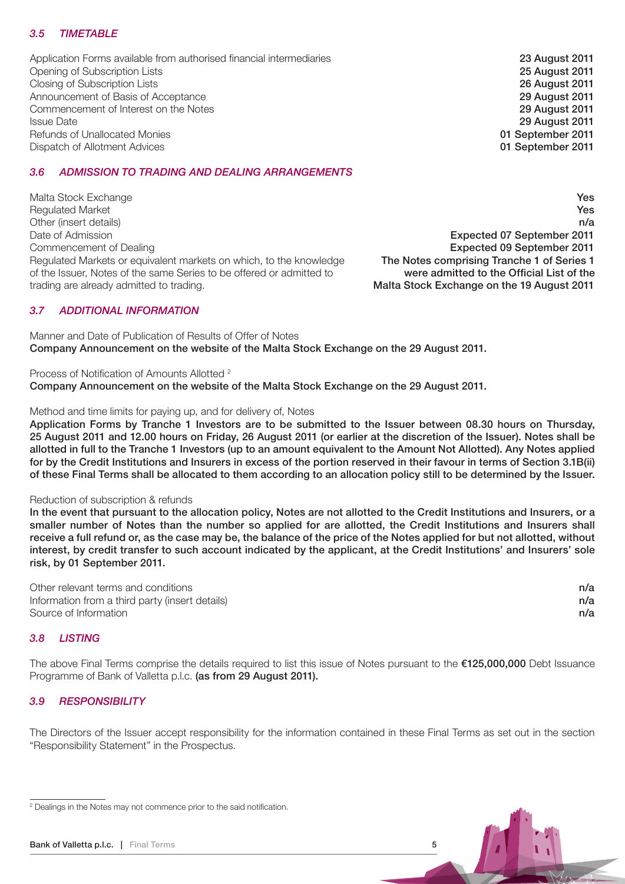## 3.5 TIMETABLE

Application Forms available from authorised financial intermediaries 23 August 2011 Opening of Subscription Lists 25 August 2011 Closing of Subscription Lists 2011<br>
Announcement of Basis of Acceptance<br>
29 August 2011 Announcement of Basis of Acceptance<br>
Commencement of Interest on the Notes<br>
29 August 2011 Commencement of Interest on the Notes Issue Date 2011<br>
Issue Date 2011<br>
Refunds of Unallocated Monies 2011 Refunds of Unallocated Monies<br>
Dispatch of Allotment Advices<br>
Dispatch of Allotment Advices Dispatch of Allotment Advices

### 3.6 ADMISSION TO TRADING AND DEALING ARRANGEMENTS

Malta Stock Exchange Yes Requiated Market **Yes** Yes n/a<br>Date of Admission and Date of Admission and Date of Admission and Date of Admission and Date of Admission and D Commencement of Dealing<br>Requiated Markets or equivalent markets on which, to the knowledge **Expected 09 September 2011**<br>**The Notes comprising Tranche 1 of Series 1** Regulated Markets or equivalent markets on which, to the knowledge The Notes comprising Tranche 1 of Series 1<br>The Notes comprising Tranche 1 of Series 1 of the same Series to be offered or admitted to were admitted to the of the Issuer. Notes of the same Series to be offered or admitted to trading are already admitted to trading. Malta Stock Exchange on the 19 August 2011

Expected 07 September 2011

### 3.7 ADDITIONAL INFORMATION

Manner and Date of Publication of Results of Offer of Notes Company Announcement on the website of the Malta Stock Exchange on the 29 August 2011.

Process of Notification of Amounts Allotted <sup>2</sup> Company Announcement on the website of the Malta Stock Exchange on the 29 August 2011.

#### Method and time limits for paying up, and for delivery of, Notes

Application Forms by Tranche 1 Investors are to be submitted to the Issuer between 08.30 hours on Thursday, 25 August 2011 and 12.00 hours on Friday, 26 August 2011 (or earlier at the discretion of the Issuer). Notes shall be allotted in full to the Tranche 1 Investors (up to an amount equivalent to the Amount Not Allotted). Any Notes applied for by the Credit Institutions and Insurers in excess of the portion reserved in their favour in terms of Section 3.1B(ii) of these Final Terms shall be allocated to them according to an allocation policy still to be determined by the Issuer.

#### Reduction of subscription & refunds

In the event that pursuant to the allocation policy, Notes are not allotted to the Credit Institutions and Insurers, or a smaller number of Notes than the number so applied for are allotted, the Credit Institutions and Insurers shall receive a full refund or, as the case may be, the balance of the price of the Notes applied for but not allotted, without interest, by credit transfer to such account indicated by the applicant, at the Credit Institutions' and Insurers' sole risk, by 01 September 2011.

Other relevant terms and conditions notice that the conditions is not all the conditions of the conditions of  $n/a$ Information from a third party (insert details)  $n/a$ Source of Information **n/a** 

#### 3.8 LISTING

The above Final Terms comprise the details required to list this issue of Notes pursuant to the €125,000,000 Debt Issuance Programme of Bank of Valletta p.l.c. (as from 29 August 2011).

#### 3.9 RESPONSIBILITY

The Directors of the Issuer accept responsibility for the information contained in these Final Terms as set out in the section "Responsibility Statement" in the Prospectus.



<sup>&</sup>lt;sup>2</sup> Dealings in the Notes may not commence prior to the said notification.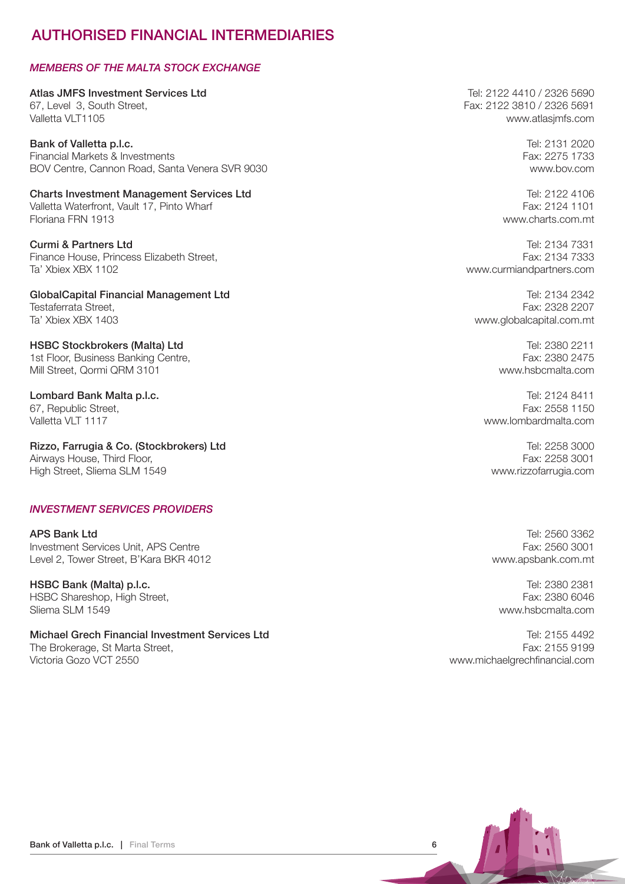# AUTHORISED FINANCIAL INTERMEDIARIES

### MEMBERS OF THE MALTA STOCK EXCHANGE

Atlas JMFS Investment Services Ltd **Tel: 2122 4410 / 2326 5690** 67, Level 3, South Street, Fax: 2122 3810 / 2326 5691 Valletta VLT1105 www.atlasjmfs.com

Bank of Valletta p.l.c. **Bank of Valletta p.l.c.** Tel: 2131 2020 Financial Markets & Investments Fax: 2275 1733 BOV Centre, Cannon Road, Santa Venera SVR 9030 www.bov.com

Charts Investment Management Services Ltd Tel: 2122 4106 Valletta Waterfront, Vault 17, Pinto Wharf Fax: 2124 1101 Floriana FRN 1913 www.charts.com.mt

**Curmi & Partners Ltd** Tel: 2134 7331 Finance House, Princess Elizabeth Street, Fax: 2134 7333 Ta' Xbiex XBX 1102 www.curmiandpartners.com

GlobalCapital Financial Management Ltd **Tel: 2134 2342** Testaferrata Street, Fax: 2328 2207<br>Ta' Xhiex XRX 1403 Control of Ta' Xhiex XRX 1403

HSBC Stockbrokers (Malta) Ltd Tel: 2380 2211 1st Floor, Business Banking Centre, Fax: 2380 2475 Mill Street, Qormi QRM 3101 www.hsbcmalta.com

Lombard Bank Malta p.l.c. Tel: 2124 8411 67, Republic Street, East 2558 1150<br>Valletta VI T 1117

Rizzo, Farrugia & Co. (Stockbrokers) Ltd **Tel: 2258 3000** Tel: 2258 3000 Airways House, Third Floor, The Contract of the Contract of the Contract of the Contract of the Contract of the Contract of the Contract of the Contract of the Contract of the Contract of the Contract of the Contract of th High Street, Sliema SLM 1549 www.rizzofarrugia.com

#### INVESTMENT SERVICES PROVIDERS

APS Bank Ltd Tel: 2560 3362 Investment Services Unit, APS Centre Fax: 2560 3001 Level 2, Tower Street, B'Kara BKR 4012 www.apsbank.com.mt

Superintending the USBC Bank (Malta) p.l.c. the control of the control of the control of the control of the control of the control of the control of the control of the control of the control of the control of the control o HSBC Shareshop, High Street, Sliema SLM 1549 www.hsbcmalta.com

Michael Grech Financial Investment Services Ltd Tel: 2155 4492 The Brokerage, St Marta Street, Fax: 2155 9199 Victoria Gozo VCT 2550 www.michaelgrechfinancial.com

www.globalcapital.com.mt

www.lombardmalta.com